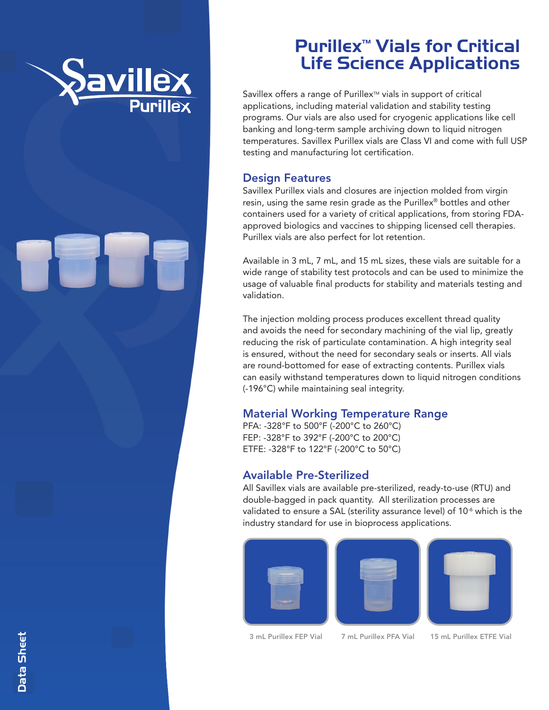

## Purillex ™ Vials for Critical Life Science Applications

Savillex offers a range of Purillex<sup>™</sup> vials in support of critical applications, including material validation and stability testing programs. Our vials are also used for cryogenic applications like cell banking and long-term sample archiving down to liquid nitrogen temperatures. Savillex Purillex vials are Class VI and come with full USP testing and manufacturing lot certification.

#### Design Features

Savillex Purillex vials and closures are injection molded from virgin resin, using the same resin grade as the Purillex ® bottles and other containers used for a variety of critical applications, from storing FDAapproved biologics and vaccines to shipping licensed cell therapies. Purillex vials are also perfect for lot retention.

Available in 3 mL, 7 mL, and 15 mL sizes, these vials are suitable for a wide range of stability test protocols and can be used to minimize the usage of valuable final products for stability and materials testing and validation.

The injection molding process produces excellent thread quality and avoids the need for secondary machining of the vial lip, greatly reducing the risk of particulate contamination. A high integrity seal is ensured, without the need for secondary seals or inserts. All vials are round-bottomed for ease of extracting contents. Purillex vials can easily withstand temperatures down to liquid nitrogen conditions (-196°C) while maintaining seal integrity.

#### Material Working Temperature Range

PFA: -328°F to 500°F (-200°C to 260°C) FEP: -328°F to 392°F (-200°C to 200°C) ETFE: -328°F to 122°F (-200°C to 50°C)

#### Available Pre-Sterilized

All Savillex vials are available pre-sterilized, ready-to-use (RTU) and double-bagged in pack quantity. All sterilization processes are validated to ensure a SAL (sterility assurance level) of 10<sup>-6</sup> which is the industry standard for use in bioprocess applications.







3 mL Purillex FEP Vial 7 mL Purillex PFA Vial 15 mL Purillex ETFE Vial